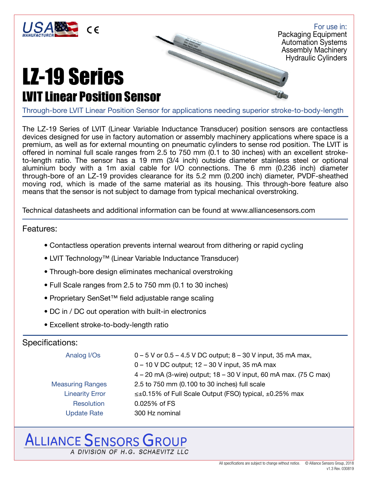

For use in: Packaging Equipment Automation Systems Assembly Machinery Hydraulic Cylinders

### LZ-19 Series LVIT Linear Position Sensor

Through-bore LVIT Linear Position Sensor for applications needing superior stroke-to-body-length

The LZ-19 Series of LVIT (Linear Variable Inductance Transducer) position sensors are contactless devices designed for use in factory automation or assembly machinery applications where space is a premium, as well as for external mounting on pneumatic cylinders to sense rod position. The LVIT is offered in nominal full scale ranges from 2.5 to 750 mm (0.1 to 30 inches) with an excellent stroketo-length ratio. The sensor has a 19 mm (3/4 inch) outside diameter stainless steel or optional aluminium body with a 1m axial cable for I/O connections. The 6 mm (0.236 inch) diameter through-bore of an LZ-19 provides clearance for its 5.2 mm (0.200 inch) diameter, PVDF-sheathed moving rod, which is made of the same material as its housing. This through-bore feature also means that the sensor is not subject to damage from typical mechanical overstroking.

Technical datasheets and additional information can be found at www.alliancesensors.com

#### Features:

- Contactless operation prevents internal wearout from dithering or rapid cycling
- LVIT Technology™ (Linear Variable Inductance Transducer)
- Through-bore design eliminates mechanical overstroking
- Full Scale ranges from 2.5 to 750 mm (0.1 to 30 inches)
- Proprietary SenSet™ field adjustable range scaling
- DC in / DC out operation with built-in electronics
- Excellent stroke-to-body-length ratio

### Specifications:

| Analog I/Os             | $0 - 5$ V or $0.5 - 4.5$ V DC output; $8 - 30$ V input, 35 mA max,<br>0 - 10 V DC output; 12 - 30 V input, 35 mA max<br>4 – 20 mA (3-wire) output; 18 – 30 V input, 60 mA max. (75 C max) |  |
|-------------------------|-------------------------------------------------------------------------------------------------------------------------------------------------------------------------------------------|--|
| <b>Measuring Ranges</b> | 2.5 to 750 mm (0.100 to 30 inches) full scale                                                                                                                                             |  |
| <b>Linearity Error</b>  | $\leq \pm 0.15\%$ of Full Scale Output (FSO) typical, $\pm 0.25\%$ max                                                                                                                    |  |
| Resolution              | $0.025%$ of FS                                                                                                                                                                            |  |
| <b>Update Rate</b>      | 300 Hz nominal                                                                                                                                                                            |  |

## **ALLIANCE SENSORS GROUP**